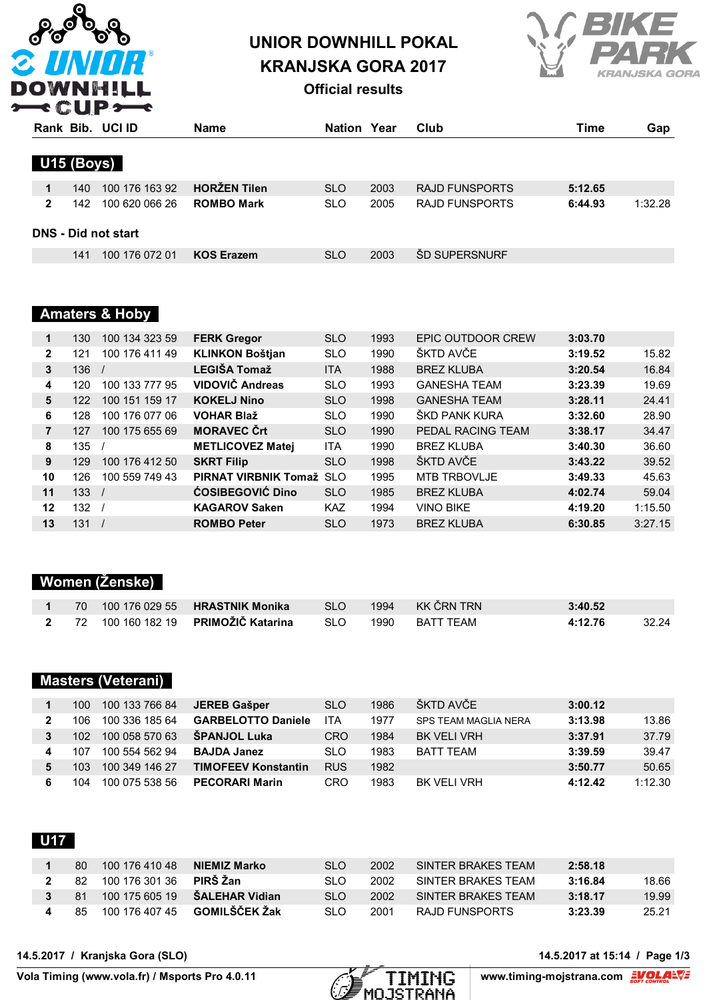

# **UNIOR DOWNHILL POKAL KRANJSKA GORA 2017**



**Official results**

|              |                            | Rank Bib. UCI ID | <b>Name</b>         | Nation     | Year | Club                  | Time    | Gap     |  |  |  |  |
|--------------|----------------------------|------------------|---------------------|------------|------|-----------------------|---------|---------|--|--|--|--|
| U15 (Boys)   |                            |                  |                     |            |      |                       |         |         |  |  |  |  |
| 1            | 140.                       | 100 176 163 92   | <b>HORZEN Tilen</b> | <b>SLO</b> | 2003 | <b>RAJD FUNSPORTS</b> | 5:12.65 |         |  |  |  |  |
| $\mathbf{2}$ | 142.                       | 100 620 066 26   | <b>ROMBO Mark</b>   | <b>SLO</b> | 2005 | RAJD FUNSPORTS        | 6:44.93 | 1:32.28 |  |  |  |  |
|              | <b>DNS - Did not start</b> |                  |                     |            |      |                       |         |         |  |  |  |  |
|              | 141                        | 100 176 072 01   | <b>KOS Erazem</b>   | <b>SLO</b> | 2003 | <b>SD SUPERSNURF</b>  |         |         |  |  |  |  |

### **Amaters & Hoby**

| 1              | 130 | 100 134 323 59 | <b>FERK Gregor</b>       | <b>SLO</b> | 1993 | EPIC OUTDOOR CREW   | 3:03.70 |         |
|----------------|-----|----------------|--------------------------|------------|------|---------------------|---------|---------|
| $\mathbf{2}$   | 121 | 100 176 411 49 | <b>KLINKON Boštjan</b>   | <b>SLO</b> | 1990 | ŠKTD AVČE           | 3:19.52 | 15.82   |
| 3              | 136 |                | <b>LEGIŠA Tomaž</b>      | <b>ITA</b> | 1988 | <b>BREZ KLUBA</b>   | 3:20.54 | 16.84   |
| 4              | 120 | 100 133 777 95 | VIDOVIČ Andreas          | <b>SLO</b> | 1993 | <b>GANESHA TEAM</b> | 3:23.39 | 19.69   |
| 5              | 122 | 100 151 159 17 | <b>KOKELJ Nino</b>       | <b>SLO</b> | 1998 | <b>GANESHA TEAM</b> | 3:28.11 | 24.41   |
| 6              | 128 | 100 176 077 06 | <b>VOHAR Blaž</b>        | <b>SLO</b> | 1990 | ŠKD PANK KURA       | 3:32.60 | 28.90   |
| $\overline{7}$ | 127 | 100 175 655 69 | <b>MORAVEC Crt</b>       | <b>SLO</b> | 1990 | PEDAL RACING TEAM   | 3:38.17 | 34.47   |
| 8              | 135 |                | <b>METLICOVEZ Matei</b>  | <b>ITA</b> | 1990 | <b>BREZ KLUBA</b>   | 3:40.30 | 36.60   |
| 9              | 129 | 100 176 412 50 | <b>SKRT Filip</b>        | <b>SLO</b> | 1998 | ŠKTD AVČE           | 3:43.22 | 39.52   |
| 10             | 126 | 100 559 749 43 | PIRNAT VIRBNIK Tomaž SLO |            | 1995 | <b>MTB TRBOVLJE</b> | 3:49.33 | 45.63   |
| 11             | 133 |                | <b>ĆOSIBEGOVIĆ Dino</b>  | <b>SLO</b> | 1985 | <b>BREZ KLUBA</b>   | 4:02.74 | 59.04   |
| 12             | 132 |                | <b>KAGAROV Saken</b>     | <b>KAZ</b> | 1994 | <b>VINO BIKE</b>    | 4:19.20 | 1:15.50 |
| 13             | 131 |                | <b>ROMBO Peter</b>       | <b>SLO</b> | 1973 | <b>BREZ KLUBA</b>   | 6:30.85 | 3:27.15 |

### **Women (Ženske)**

|  |                                                          | SLO <sub>b</sub> | 1994 KK ČRN TRN | 3:40.52 |       |
|--|----------------------------------------------------------|------------------|-----------------|---------|-------|
|  | 2 72 100 160 182 19 PRIMOŽIČ Katarina SLO 1990 BATT TEAM |                  |                 | 4:12.76 | 32.24 |

### **Masters (Veterani)**

|              | 100              | 100 133 766 84 | JEREB Gašper               | <b>SLO</b> | 1986 | ŠKTD AVČE            | 3:00.12 |         |
|--------------|------------------|----------------|----------------------------|------------|------|----------------------|---------|---------|
| $\mathbf{2}$ | 106.             | 100 336 185 64 | <b>GARBELOTTO Daniele</b>  | ITA        | 1977 | SPS TEAM MAGLIA NERA | 3:13.98 | 13.86   |
|              | 102 <sub>1</sub> | 100 058 570 63 | <b>SPANJOL Luka</b>        | CRO        | 1984 | <b>BK VELI VRH</b>   | 3:37.91 | 37.79   |
| 4            | 107              | 100 554 562 94 | <b>BAJDA Janez</b>         | <b>SLO</b> | 1983 | BATT TFAM            | 3:39.59 | 39.47   |
| 5            | 103              | 100 349 146 27 | <b>TIMOFEEV Konstantin</b> | <b>RUS</b> | 1982 |                      | 3:50.77 | 50.65   |
| 6            | 104              | 100 075 538 56 | <b>PECORARI Marin</b>      | CRO        | 1983 | BK VELLVRH           | 4:12.42 | 1:12.30 |

## **U17**

| 80  | 100 176 410 48    | NIEMIZ Marko    | SI O | 2002 | SINTER BRAKES TEAM | 2:58.18 |       |
|-----|-------------------|-----------------|------|------|--------------------|---------|-------|
|     | 82 100 176 301 36 | <b>PIRS Zan</b> | SI O | 2002 | SINTER BRAKES TEAM | 3:16.84 | 18.66 |
|     | 81 100 175 605 19 | SALEHAR Vidian  | SI O | 2002 | SINTER BRAKES TEAM | 3:18.17 | 19.99 |
| 85. | 100 176 407 45    | GOMILŠČEK Žak   | SI O | 2001 | RAJD FUNSPORTS     | 3:23.39 | 25.21 |

**14.5.2017 / Kranjska Gora (SLO)** 

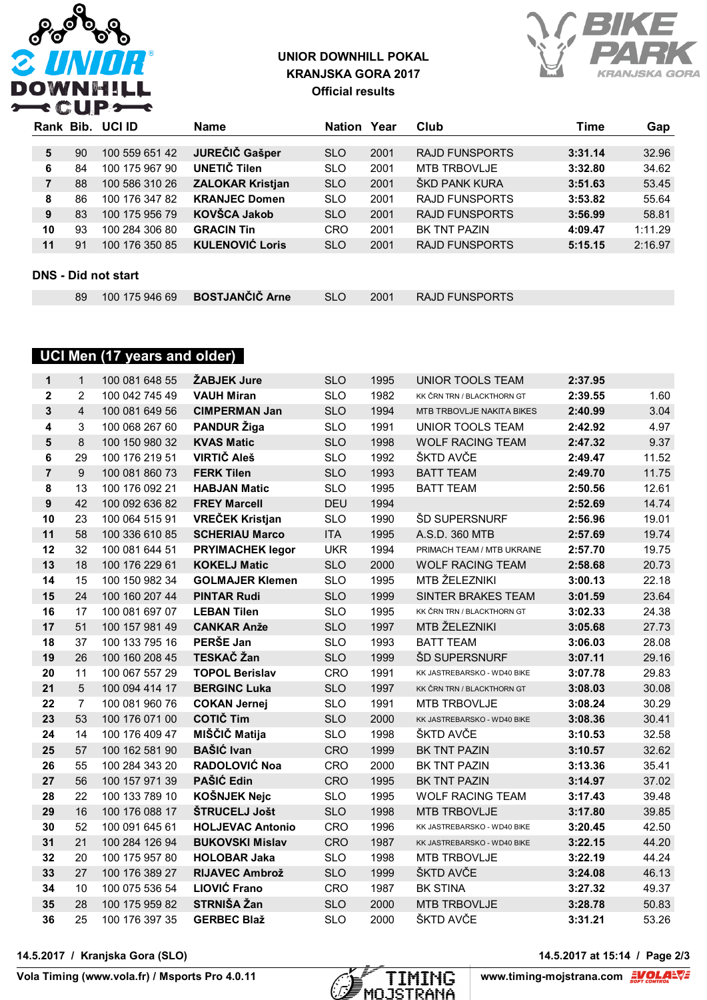

### **UNIOR DOWNHILL POKAL KRANJSKA GORA 2017 Official results**



| Rank                       |    | Bib. UCI ID    | <b>Name</b>             | <b>Nation Year</b> |      | Club                  | Time    | Gap     |  |  |
|----------------------------|----|----------------|-------------------------|--------------------|------|-----------------------|---------|---------|--|--|
|                            |    |                |                         |                    |      |                       |         |         |  |  |
| 5                          | 90 | 100 559 651 42 | JUREČIČ Gašper          | <b>SLO</b>         | 2001 | <b>RAJD FUNSPORTS</b> | 3:31.14 | 32.96   |  |  |
| 6                          | 84 | 100 175 967 90 | UNETIČ Tilen            | <b>SLO</b>         | 2001 | <b>MTB TRBOVLJE</b>   | 3:32.80 | 34.62   |  |  |
| 7                          | 88 | 100 586 310 26 | <b>ZALOKAR Kristjan</b> | <b>SLO</b>         | 2001 | ŠKD PANK KURA         | 3:51.63 | 53.45   |  |  |
| 8                          | 86 | 100 176 347 82 | <b>KRANJEC Domen</b>    | <b>SLO</b>         | 2001 | <b>RAJD FUNSPORTS</b> | 3:53.82 | 55.64   |  |  |
| 9                          | 83 | 100 175 956 79 | <b>KOVŠCA Jakob</b>     | <b>SLO</b>         | 2001 | <b>RAJD FUNSPORTS</b> | 3:56.99 | 58.81   |  |  |
| 10                         | 93 | 100 284 306 80 | <b>GRACIN Tin</b>       | <b>CRO</b>         | 2001 | <b>BK TNT PAZIN</b>   | 4:09.47 | 1:11.29 |  |  |
| 11                         | 91 | 100 176 350 85 | <b>KULENOVIĆ Loris</b>  | <b>SLO</b>         | 2001 | <b>RAJD FUNSPORTS</b> | 5:15.15 | 2:16.97 |  |  |
|                            |    |                |                         |                    |      |                       |         |         |  |  |
| <b>DNS - Did not start</b> |    |                |                         |                    |      |                       |         |         |  |  |

| 100 175 946 69 <b>BOSTJANČIČ Arne</b><br><b>RAJD FUNSPORTS</b><br>2001<br>SLO. |
|--------------------------------------------------------------------------------|
|--------------------------------------------------------------------------------|

### **UCI Men (17 years and older)**

| $\mathbf{1}$   | $\mathbf{1}$   | 100 081 648 55 | ŽABJEK Jure             | <b>SLO</b> | 1995 | UNIOR TOOLS TEAM            | 2:37.95 |       |
|----------------|----------------|----------------|-------------------------|------------|------|-----------------------------|---------|-------|
| $\overline{2}$ | $\overline{2}$ | 100 042 745 49 | <b>VAUH Miran</b>       | <b>SLO</b> | 1982 | KK ČRN TRN / BLACKTHORN GT  | 2:39.55 | 1.60  |
| 3              | $\overline{4}$ | 100 081 649 56 | <b>CIMPERMAN Jan</b>    | <b>SLO</b> | 1994 | MTB TRBOVLJE NAKITA BIKES   | 2:40.99 | 3.04  |
| 4              | 3              | 100 068 267 60 | <b>PANDUR Žiga</b>      | <b>SLO</b> | 1991 | UNIOR TOOLS TEAM            | 2:42.92 | 4.97  |
| 5              | 8              | 100 150 980 32 | <b>KVAS Matic</b>       | <b>SLO</b> | 1998 | <b>WOLF RACING TEAM</b>     | 2:47.32 | 9.37  |
| 6              | 29             | 100 176 219 51 | <b>VIRTIČ Aleš</b>      | <b>SLO</b> | 1992 | ŠKTD AVČE                   | 2:49.47 | 11.52 |
| $\overline{7}$ | 9              | 100 081 860 73 | <b>FERK Tilen</b>       | <b>SLO</b> | 1993 | <b>BATT TEAM</b>            | 2:49.70 | 11.75 |
| 8              | 13             | 100 176 092 21 | <b>HABJAN Matic</b>     | <b>SLO</b> | 1995 | <b>BATT TEAM</b>            | 2:50.56 | 12.61 |
| 9              | 42             | 100 092 636 82 | <b>FREY Marcell</b>     | <b>DEU</b> | 1994 |                             | 2:52.69 | 14.74 |
| 10             | 23             | 100 064 515 91 | <b>VREČEK Kristjan</b>  | <b>SLO</b> | 1990 | <b>ŠD SUPERSNURF</b>        | 2:56.96 | 19.01 |
| 11             | 58             | 100 336 610 85 | <b>SCHERIAU Marco</b>   | <b>ITA</b> | 1995 | A.S.D. 360 MTB              | 2:57.69 | 19.74 |
| 12             | 32             | 100 081 644 51 | <b>PRYIMACHEK legor</b> | <b>UKR</b> | 1994 | PRIMACH TEAM / MTB UKRAINE  | 2:57.70 | 19.75 |
| 13             | 18             | 100 176 229 61 | <b>KOKELJ Matic</b>     | <b>SLO</b> | 2000 | <b>WOLF RACING TEAM</b>     | 2:58.68 | 20.73 |
| 14             | 15             | 100 150 982 34 | <b>GOLMAJER Klemen</b>  | <b>SLO</b> | 1995 | MTB ŽELEZNIKI               | 3:00.13 | 22.18 |
| 15             | 24             | 100 160 207 44 | <b>PINTAR Rudi</b>      | <b>SLO</b> | 1999 | <b>SINTER BRAKES TEAM</b>   | 3:01.59 | 23.64 |
| 16             | 17             | 100 081 697 07 | <b>LEBAN Tilen</b>      | <b>SLO</b> | 1995 | KK ČRN TRN / BLACKTHORN GT  | 3:02.33 | 24.38 |
| 17             | 51             | 100 157 981 49 | <b>CANKAR Anže</b>      | <b>SLO</b> | 1997 | MTB ŽELEZNIKI               | 3:05.68 | 27.73 |
| 18             | 37             | 100 133 795 16 | PERŠE Jan               | <b>SLO</b> | 1993 | <b>BATT TEAM</b>            | 3:06.03 | 28.08 |
| 19             | 26             | 100 160 208 45 | TESKAČ Žan              | <b>SLO</b> | 1999 | ŠD SUPERSNURF               | 3:07.11 | 29.16 |
| 20             | 11             | 100 067 557 29 | <b>TOPOL Berislav</b>   | <b>CRO</b> | 1991 | KK JASTREBARSKO - WD40 BIKE | 3:07.78 | 29.83 |
| 21             | $5\phantom{.}$ | 100 094 414 17 | <b>BERGINC Luka</b>     | <b>SLO</b> | 1997 | KK ČRN TRN / BLACKTHORN GT  | 3:08.03 | 30.08 |
| 22             | $\overline{7}$ | 100 081 960 76 | <b>COKAN Jernej</b>     | <b>SLO</b> | 1991 | <b>MTB TRBOVLJE</b>         | 3:08.24 | 30.29 |
| 23             | 53             | 100 176 071 00 | <b>COTIČ Tim</b>        | <b>SLO</b> | 2000 | KK JASTREBARSKO - WD40 BIKE | 3:08.36 | 30.41 |
| 24             | 14             | 100 176 409 47 | MIŠČIČ Matija           | <b>SLO</b> | 1998 | ŠKTD AVČE                   | 3:10.53 | 32.58 |
| 25             | 57             | 100 162 581 90 | <b>BAŠIĆ Ivan</b>       | <b>CRO</b> | 1999 | <b>BK TNT PAZIN</b>         | 3:10.57 | 32.62 |
| 26             | 55             | 100 284 343 20 | <b>RADOLOVIĆ Noa</b>    | <b>CRO</b> | 2000 | BK TNT PAZIN                | 3:13.36 | 35.41 |
| 27             | 56             | 100 157 971 39 | PAŠIĆ Edin              | <b>CRO</b> | 1995 | <b>BK TNT PAZIN</b>         | 3:14.97 | 37.02 |
| 28             | 22             | 100 133 789 10 | KOŠNJEK Nejc            | <b>SLO</b> | 1995 | <b>WOLF RACING TEAM</b>     | 3:17.43 | 39.48 |
| 29             | 16             | 100 176 088 17 | ŠTRUCELJ Jošt           | <b>SLO</b> | 1998 | <b>MTB TRBOVLJE</b>         | 3:17.80 | 39.85 |
| 30             | 52             | 100 091 645 61 | <b>HOLJEVAC Antonio</b> | <b>CRO</b> | 1996 | KK JASTREBARSKO - WD40 BIKE | 3:20.45 | 42.50 |
| 31             | 21             | 100 284 126 94 | <b>BUKOVSKI Mislav</b>  | <b>CRO</b> | 1987 | KK JASTREBARSKO - WD40 BIKE | 3:22.15 | 44.20 |
| 32             | 20             | 100 175 957 80 | <b>HOLOBAR Jaka</b>     | <b>SLO</b> | 1998 | MTB TRBOVLJE                | 3:22.19 | 44.24 |
| 33             | 27             | 100 176 389 27 | <b>RIJAVEC Ambrož</b>   | <b>SLO</b> | 1999 | ŠKTD AVČE                   | 3:24.08 | 46.13 |
| 34             | 10             | 100 075 536 54 | <b>LIOVIĆ Frano</b>     | <b>CRO</b> | 1987 | <b>BK STINA</b>             | 3:27.32 | 49.37 |
| 35             | 28             | 100 175 959 82 | STRNIŠA Žan             | <b>SLO</b> | 2000 | <b>MTB TRBOVLJE</b>         | 3:28.78 | 50.83 |
| 36             | 25             | 100 176 397 35 | <b>GERBEC Blaž</b>      | <b>SLO</b> | 2000 | ŠKTD AVČE                   | 3:31.21 | 53.26 |

**14.5.2017 / Kranjska Gora (SLO)** 



14.5.2017 at 15:14 / Page 2/3<br>www.timing-mojstrana.com